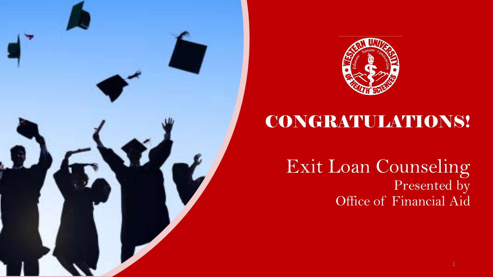



#### CONGRATULATIONS!

Exit Loan Counseling Presented by Office of Financial Aid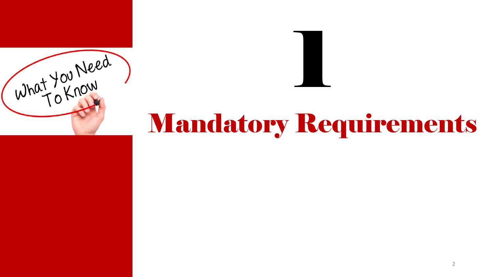



# Mandatory Requirements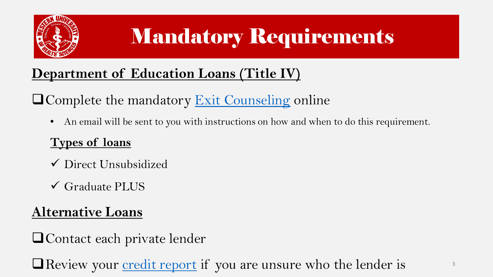

## Mandatory Requirements

#### **Department of Education Loans (Title IV)**

 $\Box$  Complete the mandatory [Exit Counseling](https://studentloans.gov/myDirectLoan/index.action) online

• An email will be sent to you with instructions on how and when to do this requirement.

#### **Types of loans**

- Direct Unsubsidized
- Graduate PLUS

#### **Alternative Loans**

**Q**Contact each private lender

 $\Box$  Review your [credit report](https://websites.westernu.edu/financial-literacy/wp-content/uploads/2015/08/ed_fund_free_credit_report.pdf) if you are unsure who the lender is  $\Box$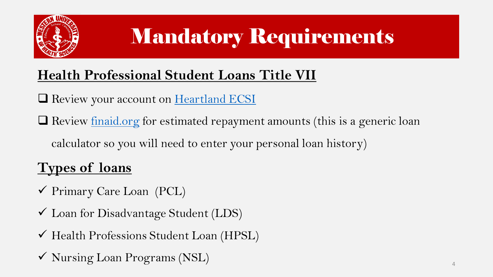

## Mandatory Requirements

#### **Health Professional Student Loans Title VII**

Review your account on [Heartland ECSI](https://www.heartlandecsi.com/)

 $\Box$  Review [finaid.org](http://finaid.org/calculators/loanpayments.phtml) for estimated repayment amounts (this is a generic loan

calculator so you will need to enter your personal loan history)

#### **Types of loans**

Primary Care Loan (PCL)

Loan for Disadvantage Student (LDS)

Health Professions Student Loan (HPSL)

 $\checkmark$  Nursing Loan Programs (NSL)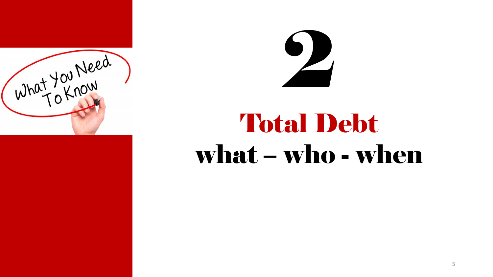



# Total Debt what – who - when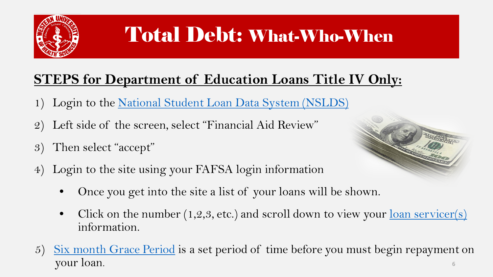

#### Total Debt: What-Who-When

#### **STEPS for Department of Education Loans Title IV Only:**

- 1) Login to the [National Student Loan Data System \(NSLDS\)](https://nslds.ed.gov/nslds/nslds_SA/)
- 2) Left side of the screen, select "Financial Aid Review"
- 3) Then select "accept"
- 4) Login to the site using your FAFSA login information
	- Once you get into the site a list of your loans will be shown.
	- Click on the number  $(1,2,3,$  etc.) and scroll down to view your <u>loan servicer(s)</u> information.
- 5) [Six month Grace Period](https://studentaid.ed.gov/sa/repay-loans/understand) is a set period of time before you must begin repayment on your loan. 6

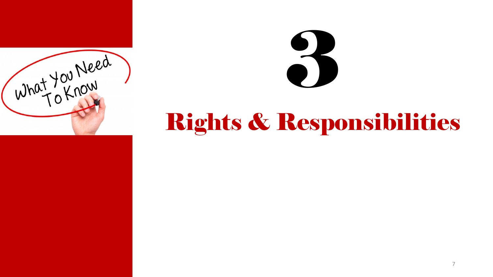



## Rights & Responsibilities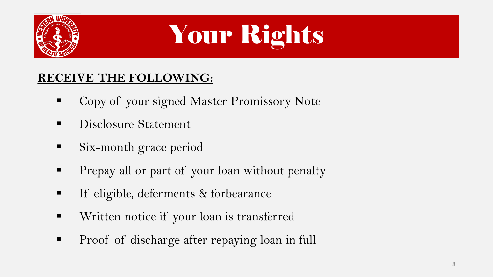

# Your Rights

#### **RECEIVE THE FOLLOWING:**

- **Copy of your signed Master Promissory Note**
- Disclosure Statement
- Six-month grace period
- **Prepay all or part of your loan without penalty**
- **If eligible, deferments & forbearance**
- Written notice if your loan is transferred
- **Proof of discharge after repaying loan in full**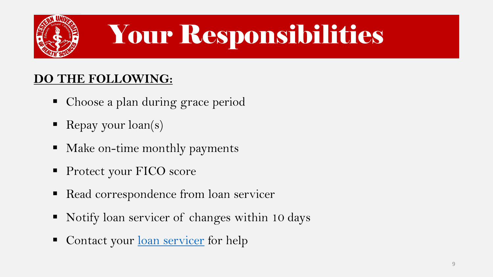

# Your Responsibilities

#### **DO THE FOLLOWING:**

- Choose a plan during grace period
- Repay your  $\text{loan}(s)$
- Make on-time monthly payments
- **Protect your FICO score**
- Read correspondence from loan servicer
- Notify loan servicer of changes within 10 days
- Contact your <u>[loan servicer](https://studentaid.ed.gov/sa/repay-loans/understand/servicers)</u> for help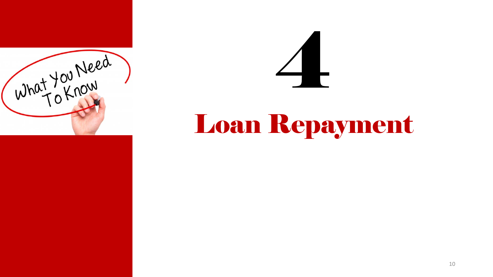



## Loan Repayment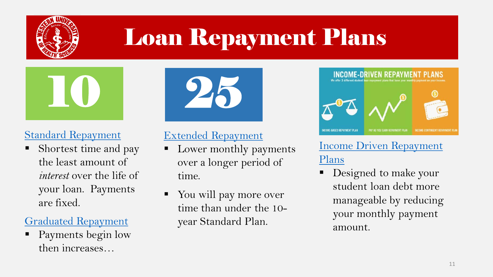

## Loan Repayment Plans



#### [Standard Repayment](https://studentaid.ed.gov/sa/repay-loans/understand/plans)

 Shortest time and pay the least amount of *interest* over the life of your loan. Payments are fixed.

#### [Graduated Repayment](https://studentaid.ed.gov/sa/repay-loans/understand/plans)

 Payments begin low then increases…



#### [Extended Repayment](https://studentaid.ed.gov/sa/repay-loans/understand/plans)

- Lower monthly payments over a longer period of time.
- You will pay more over time than under the 10 year Standard Plan.



#### [Income Driven Repayment](https://studentaid.ed.gov/sa/repay-loans/understand/plans/income-driven)  Plans

 Designed to make your student loan debt more manageable by reducing your monthly payment amount.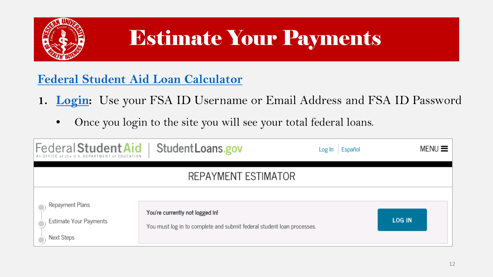

### Estimate Your Payments

#### **[Federal Student Aid Loan Calculator](https://studentloans.gov/myDirectLoan/repaymentEstimator.action?_ga=2.231708895.1714237011.1520210672-159790822.1517954184)**

- **1. [Login:](https://studentloans.gov/myDirectLoan/repaymentEstimator.action?_ga=2.231708895.1714237011.1520210672-159790822.1517954184)** Use your FSA ID Username or Email Address and FSA ID Password
	- Once you login to the site you will see your total federal loans.

| An OFFICE of the U.S. DEPARTMENT of EDUCATION           | Federal Student Aid   Student Loans.gov                                                                   | Español<br>Log In | $MENU \equiv$ |  |  |  |
|---------------------------------------------------------|-----------------------------------------------------------------------------------------------------------|-------------------|---------------|--|--|--|
| REPAYMENT ESTIMATOR                                     |                                                                                                           |                   |               |  |  |  |
| Repayment Plans<br>Estimate Your Payments<br>Next Steps | You're currently not logged In!<br>You must log in to complete and submit federal student loan processes. |                   | <b>LOG IN</b> |  |  |  |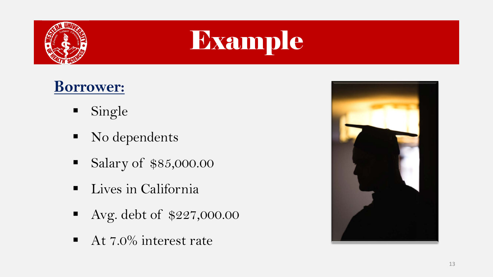

# Example

#### **Borrower:**

- **Single**
- No dependents
- Salary of \$85,000.00
- **Lives in California**
- Avg. debt of \$227,000.00
- $\blacksquare$  At 7.0% interest rate

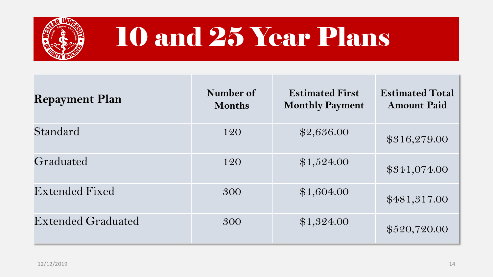

## 10 and 25 Year Plans

| <b>Repayment Plan</b>     | Number of<br><b>Months</b> | <b>Estimated First</b><br><b>Monthly Payment</b> | <b>Estimated Total</b><br><b>Amount Paid</b> |
|---------------------------|----------------------------|--------------------------------------------------|----------------------------------------------|
| Standard                  | 120                        | \$2,636.00                                       | \$316,279.00                                 |
| Graduated                 | 120                        | \$1,524.00                                       | \$341,074.00                                 |
| Extended Fixed            | 300                        | \$1,604.00                                       | \$481,317.00                                 |
| <b>Extended Graduated</b> | 300                        | \$1,324.00                                       | \$520,720.00                                 |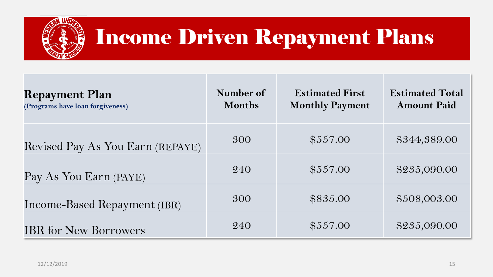

#### Income Driven Repayment Plans

| <b>Repayment Plan</b><br>(Programs have loan forgiveness) | Number of<br><b>Months</b> | <b>Estimated First</b><br><b>Monthly Payment</b> | <b>Estimated Total</b><br><b>Amount Paid</b> |
|-----------------------------------------------------------|----------------------------|--------------------------------------------------|----------------------------------------------|
| Revised Pay As You Earn (REPAYE)                          | 300                        | \$557.00                                         | \$344,389.00                                 |
| Pay As You Earn (PAYE)                                    | 240                        | \$557.00                                         | \$235,090.00                                 |
| Income-Based Repayment (IBR)                              | 300                        | \$835.00                                         | \$508,003.00                                 |
| <b>IBR</b> for New Borrowers                              | 240                        | \$557.00                                         | \$235,090.00                                 |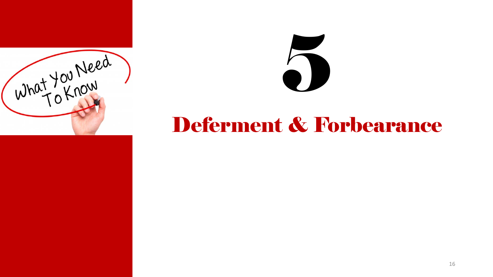

# 

#### Deferment & Forbearance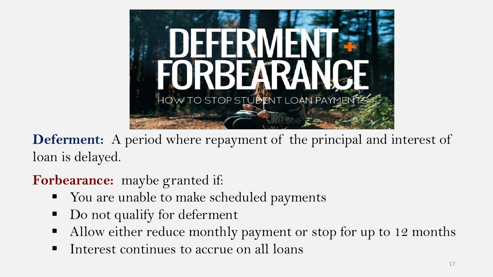

**Deferment:** A period where repayment of the principal and interest of loan is delayed.

#### **Forbearance:** maybe granted if:

- You are unable to make scheduled payments
- Do not qualify for deferment
- Allow either reduce monthly payment or stop for up to 12 months
- Interest continues to accrue on all loans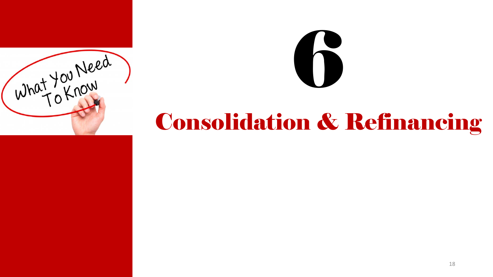



### Consolidation & Refinancing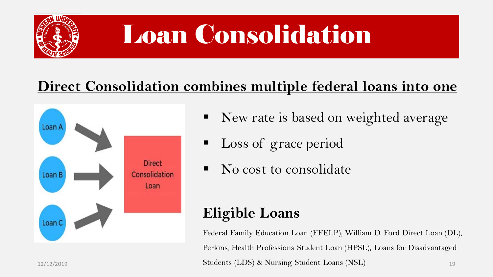

# Loan Consolidation

#### **Direct Consolidation combines multiple federal loans into one**



- New rate is based on weighted average
- Loss of grace period
- No cost to consolidate

#### **Eligible Loans**

19 Federal Family Education Loan (FFELP), William D. Ford Direct Loan (DL), Perkins, Health Professions Student Loan (HPSL), Loans for Disadvantaged 12/12/2019 Students (LDS) & Nursing Student Loans (NSL)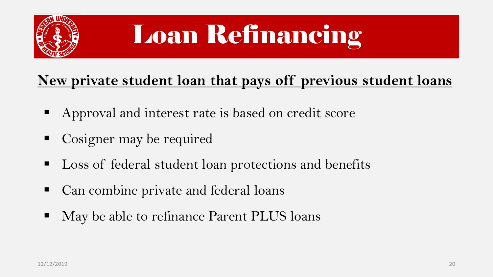

# Loan Refinancing

#### **New private student loan that pays off previous student loans**

- Approval and interest rate is based on credit score
- Cosigner may be required
- Loss of federal student loan protections and benefits
- Can combine private and federal loans
- May be able to refinance Parent PLUS loans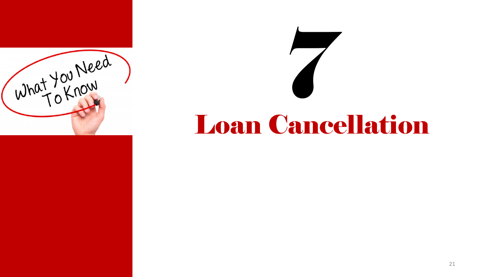

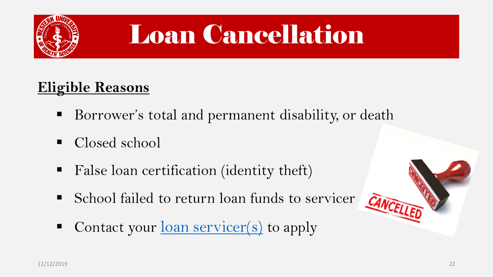

## Loan Cancellation

#### **Eligible Reasons**

- Borrower's total and permanent disability, or death
- Closed school
- False loan certification (identity theft)
- School failed to return loan funds to servicer
- Contact your <u>loan servicer(s)</u> to apply

CANCELLED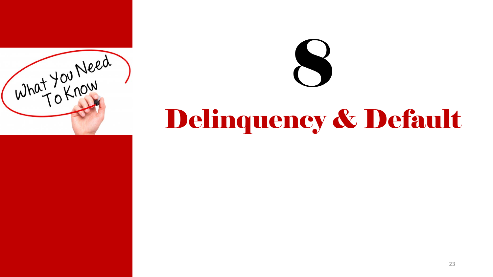

# Delinquency & Default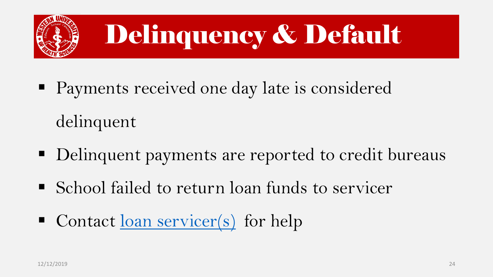

# Delinquency & Default

- **Payments received one day late is considered** delinquent
- Delinquent payments are reported to credit bureaus
- School failed to return loan funds to servicer
- Contact <u>[loan servicer\(s\)](https://studentloans.gov/myDirectLoan/additionalInformation.action)</u> for help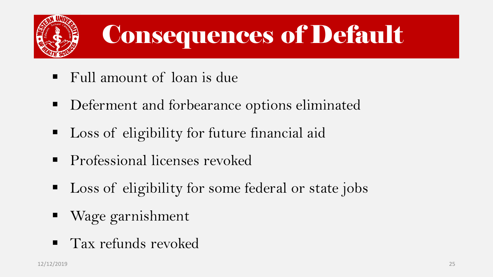

## Consequences of Default

- Full amount of loan is due
- **Deferment and forbearance options eliminated**
- Loss of eligibility for future financial aid
- **Professional licenses revoked**
- **Loss of eligibility for some federal or state jobs**
- Wage garnishment
- **Tax refunds revoked**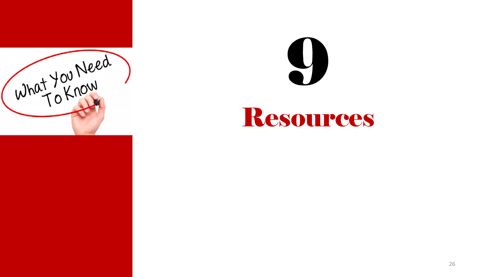



#### Resources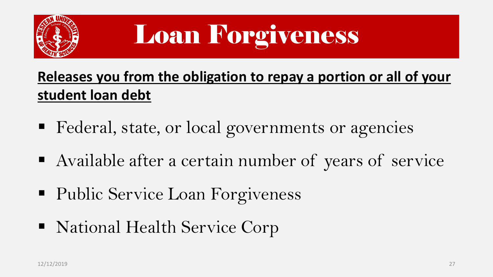

# Loan Forgiveness

#### **Releases you from the obligation to repay a portion or all of your student loan debt**

- **Federal, state, or local governments or agencies**
- Available after a certain number of years of service
- Public Service Loan Forgiveness
- National Health Service Corp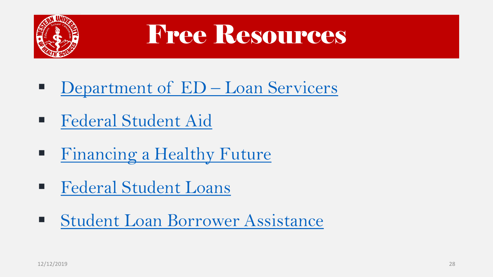

## Free Resources

- Department of  $ED Loan$  Servicers
- **[Federal Student Aid](https://studentaid.ed.gov/sa/repay-loans/understand/servicers)**
- **[Financing a Healthy Future](https://websites.westernu.edu/financial-literacy/)**
- **[Federal Student Loans](https://studentloans.gov/myDirectLoan/index.action)**
- **[Student Loan Borrower Assistance](http://www.studentloanborrowerassistance.org/repayment/)**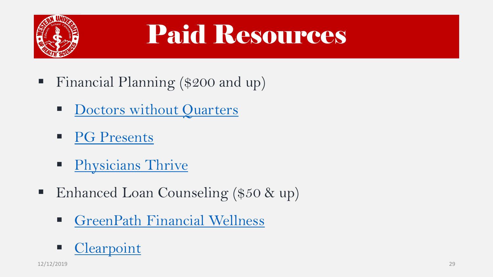

# Paid Resources

- Financial Planning (\$200 and up)
	- [Doctors without Quarters](http://www.dwoq.com/)
	- **[PG Presents](http://www.pgpresents.com/)**
	- **[Physicians Thrive](https://physiciansthrive.com/financial-planning-resources/)**
- Enhanced Loan Counseling (\$50 & up)
	- **[GreenPath Financial Wellness](http://www.greenpath.com/)**

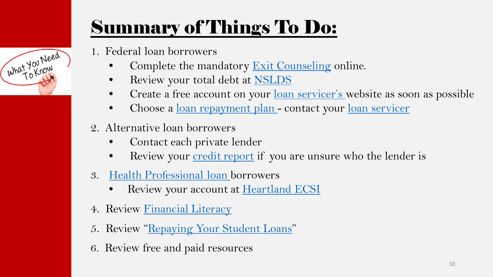#### Summary of Things To Do:

1. Federal loan borrowers

What You Need

- Complete the mandatory [Exit Counseling](https://studentloans.gov/myDirectLoan/index.action) online.
- Review your total debt at [NSLDS](https://nslds.ed.gov/nslds/nslds_SA/)
- Create a free account on your <u>loan servicer's</u> website as soon as possible
- Choose a <u>loan repayment plan</u> contact your <u>loan servicer</u>
- 2. Alternative loan borrowers
	- Contact each private lender
	- Review your [credit report](https://websites.westernu.edu/financial-literacy/wp-content/uploads/2015/08/ed_fund_free_credit_report.pdf) if you are unsure who the lender is
- 3. [Health Professional loan b](https://www.westernu.edu/financial/direct-loan-program-counseling/financial-loans-department-health/)orrowers
	- Review your account at [Heartland ECSI](https://www.heartlandecsi.com/)
- 4. Review **Financial Literacy**
- 5. Review "[Repaying Your Student Loans](https://www.westernu.edu/financial/direct-loan-program-counseling/financial-repay-loan/)"
- 6. Review free and paid resources